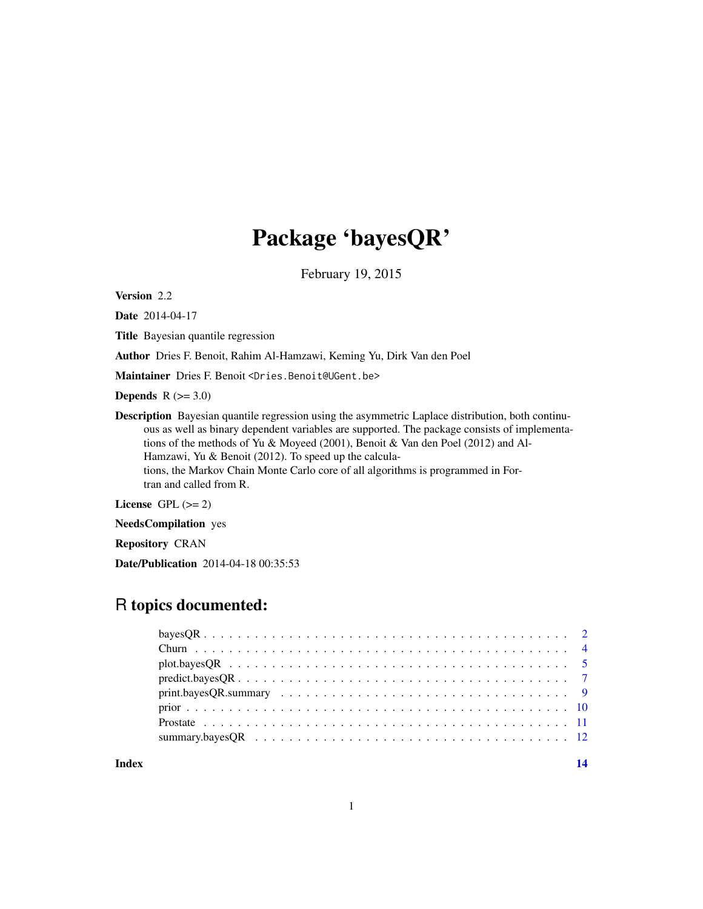## Package 'bayesQR'

February 19, 2015

Version 2.2

Date 2014-04-17

Title Bayesian quantile regression

Author Dries F. Benoit, Rahim Al-Hamzawi, Keming Yu, Dirk Van den Poel

Maintainer Dries F. Benoit <Dries.Benoit@UGent.be>

Depends  $R$  ( $>= 3.0$ )

Description Bayesian quantile regression using the asymmetric Laplace distribution, both continuous as well as binary dependent variables are supported. The package consists of implementations of the methods of Yu & Moyeed (2001), Benoit & Van den Poel (2012) and Al-Hamzawi, Yu & Benoit (2012). To speed up the calculations, the Markov Chain Monte Carlo core of all algorithms is programmed in Fortran and called from R.

License GPL  $(>= 2)$ 

NeedsCompilation yes

Repository CRAN

Date/Publication 2014-04-18 00:35:53

### R topics documented:

| Index |  |
|-------|--|
|       |  |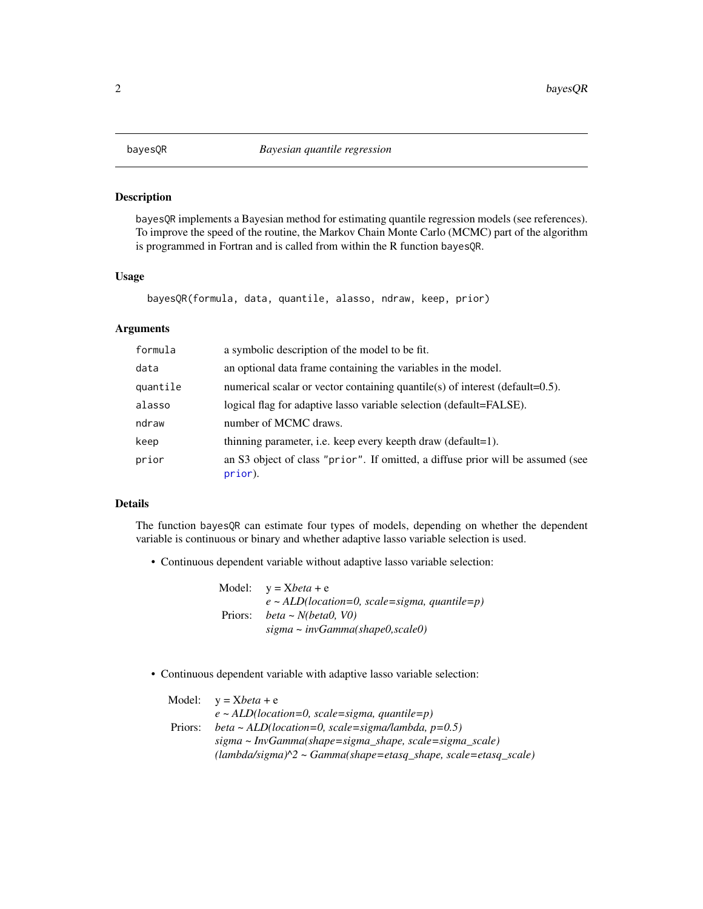<span id="page-1-0"></span>

#### Description

bayesQR implements a Bayesian method for estimating quantile regression models (see references). To improve the speed of the routine, the Markov Chain Monte Carlo (MCMC) part of the algorithm is programmed in Fortran and is called from within the R function bayesQR.

#### Usage

```
bayesQR(formula, data, quantile, alasso, ndraw, keep, prior)
```
#### Arguments

| formula  | a symbolic description of the model to be fit.                                             |
|----------|--------------------------------------------------------------------------------------------|
| data     | an optional data frame containing the variables in the model.                              |
| quantile | numerical scalar or vector containing quantile(s) of interest (default= $0.5$ ).           |
| alasso   | logical flag for adaptive lasso variable selection (default=FALSE).                        |
| ndraw    | number of MCMC draws.                                                                      |
| keep     | thinning parameter, i.e. keep every keepth draw (default=1).                               |
| prior    | an S3 object of class "prior". If omitted, a diffuse prior will be assumed (see<br>prior). |

#### Details

The function bayesQR can estimate four types of models, depending on whether the dependent variable is continuous or binary and whether adaptive lasso variable selection is used.

• Continuous dependent variable without adaptive lasso variable selection:

|         | Model: $y = Xbeta + e$                            |
|---------|---------------------------------------------------|
|         | $e \sim ALD(location=0, scale=sigma, quantile=p)$ |
| Priors: | $beta \sim N(beta0, V0)$                          |
|         | $sigma \sim invGamma(shape 0, scale 0)$           |

• Continuous dependent variable with adaptive lasso variable selection:

|         | Model: $y = Xbeta + e$                                                          |
|---------|---------------------------------------------------------------------------------|
|         | $e \sim ALD (location=0, scale=sigma, quantile=p)$                              |
| Priors: | beta ~ ALD(location=0, scale=sigma/lambda, $p=0.5$ )                            |
|         | sigma ~ InvGamma(shape=sigma_shape, scale=sigma_scale)                          |
|         | $(lambda/sigma)^{\wedge}2 \sim Gamma(shape = etasq_shape, scale = etasq_scale)$ |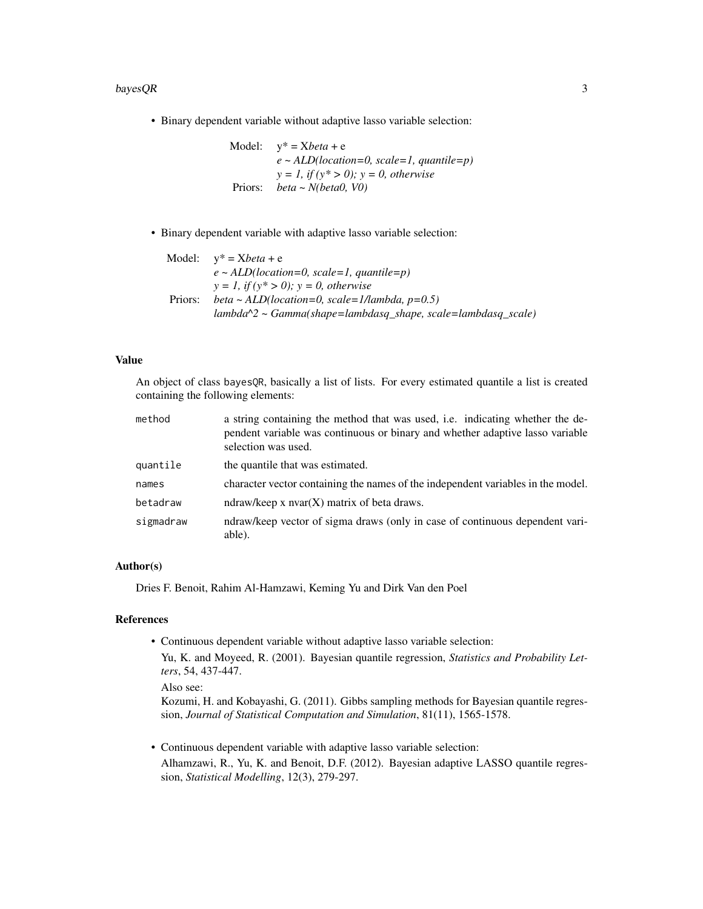#### $bayesQR$  3

• Binary dependent variable without adaptive lasso variable selection:

Model: y\* = X*beta* + e *e ~ ALD(location=0, scale=1, quantile=p) y = 1, if (y\* > 0); y = 0, otherwise* Priors: *beta ~ N(beta0, V0)*

• Binary dependent variable with adaptive lasso variable selection:

|         | Model: $v^* = Xbeta + e$                                           |
|---------|--------------------------------------------------------------------|
|         | $e \sim ALD(location=0, scale=1, quantile=p)$                      |
|         | $y = 1$ , if $(y^* > 0)$ ; $y = 0$ , otherwise                     |
| Priors: | beta ~ ALD(location=0, scale=1/lambda, $p=0.5$ )                   |
|         | $lambda^2$ ~ $Gamma(shape = lambda, shape, scale = lambda, scale)$ |

#### Value

An object of class bayesQR, basically a list of lists. For every estimated quantile a list is created containing the following elements:

| method    | a string containing the method that was used, i.e. indicating whether the de-<br>pendent variable was continuous or binary and whether adaptive lasso variable<br>selection was used. |
|-----------|---------------------------------------------------------------------------------------------------------------------------------------------------------------------------------------|
| quantile  | the quantile that was estimated.                                                                                                                                                      |
| names     | character vector containing the names of the independent variables in the model.                                                                                                      |
| betadraw  | ndraw/keep x $nvar(X)$ matrix of beta draws.                                                                                                                                          |
| sigmadraw | ndraw/keep vector of sigma draws (only in case of continuous dependent vari-<br>able).                                                                                                |

#### Author(s)

Dries F. Benoit, Rahim Al-Hamzawi, Keming Yu and Dirk Van den Poel

#### References

• Continuous dependent variable without adaptive lasso variable selection: Yu, K. and Moyeed, R. (2001). Bayesian quantile regression, *Statistics and Probability Letters*, 54, 437-447.

Also see:

Kozumi, H. and Kobayashi, G. (2011). Gibbs sampling methods for Bayesian quantile regression, *Journal of Statistical Computation and Simulation*, 81(11), 1565-1578.

• Continuous dependent variable with adaptive lasso variable selection: Alhamzawi, R., Yu, K. and Benoit, D.F. (2012). Bayesian adaptive LASSO quantile regression, *Statistical Modelling*, 12(3), 279-297.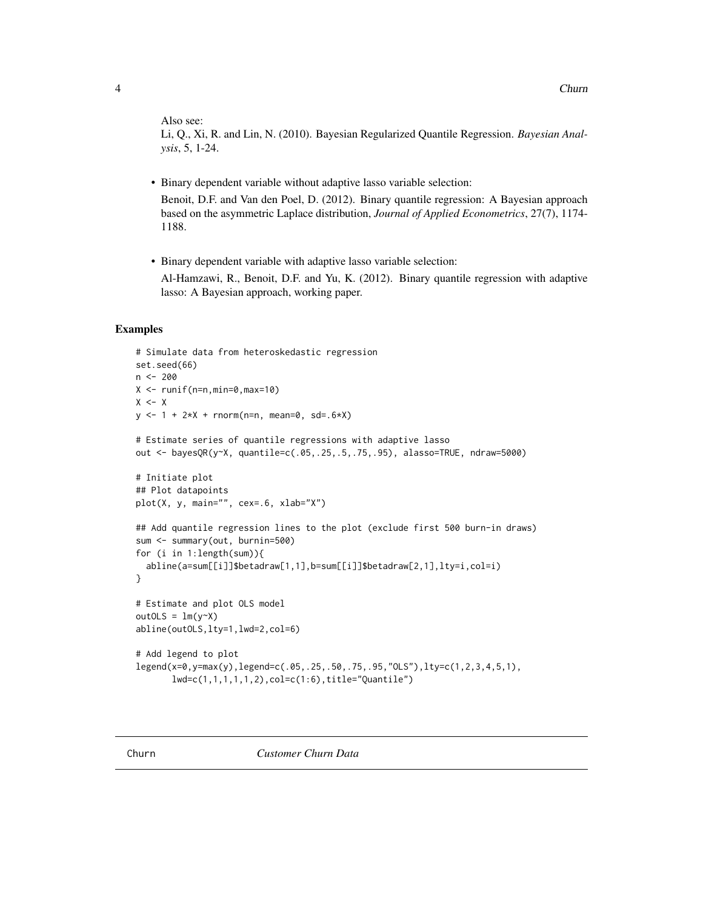<span id="page-3-0"></span>Also see:

Li, Q., Xi, R. and Lin, N. (2010). Bayesian Regularized Quantile Regression. *Bayesian Analysis*, 5, 1-24.

• Binary dependent variable without adaptive lasso variable selection:

Benoit, D.F. and Van den Poel, D. (2012). Binary quantile regression: A Bayesian approach based on the asymmetric Laplace distribution, *Journal of Applied Econometrics*, 27(7), 1174- 1188.

• Binary dependent variable with adaptive lasso variable selection:

Al-Hamzawi, R., Benoit, D.F. and Yu, K. (2012). Binary quantile regression with adaptive lasso: A Bayesian approach, working paper.

```
# Simulate data from heteroskedastic regression
set.seed(66)
n < -200X \leftarrow runif(n=n,min=0,max=10)X < - Xy \le -1 + 2 \times X + \text{norm}(n=n, \text{mean=0}, \text{sd=}.6 \times X)# Estimate series of quantile regressions with adaptive lasso
out <- bayesQR(y~X, quantile=c(.05,.25,.5,.75,.95), alasso=TRUE, ndraw=5000)
# Initiate plot
## Plot datapoints
plot(X, y, main="", cex=.6, xlab="X")
## Add quantile regression lines to the plot (exclude first 500 burn-in draws)
sum <- summary(out, burnin=500)
for (i in 1:length(sum)){
  abline(a=sum[[i]]$betadraw[1,1],b=sum[[i]]$betadraw[2,1],lty=i,col=i)
}
# Estimate and plot OLS model
outOLS = lm(y<sup>~</sup>x)abline(outOLS,lty=1,lwd=2,col=6)
# Add legend to plot
legend(x=0,y=max(y),legend=c(.05,.25,.50,.75,.95,"OLS"),lty=c(1,2,3,4,5,1),
       lwd=c(1,1,1,1,1,2),col=c(1:6),title="Quantile")
```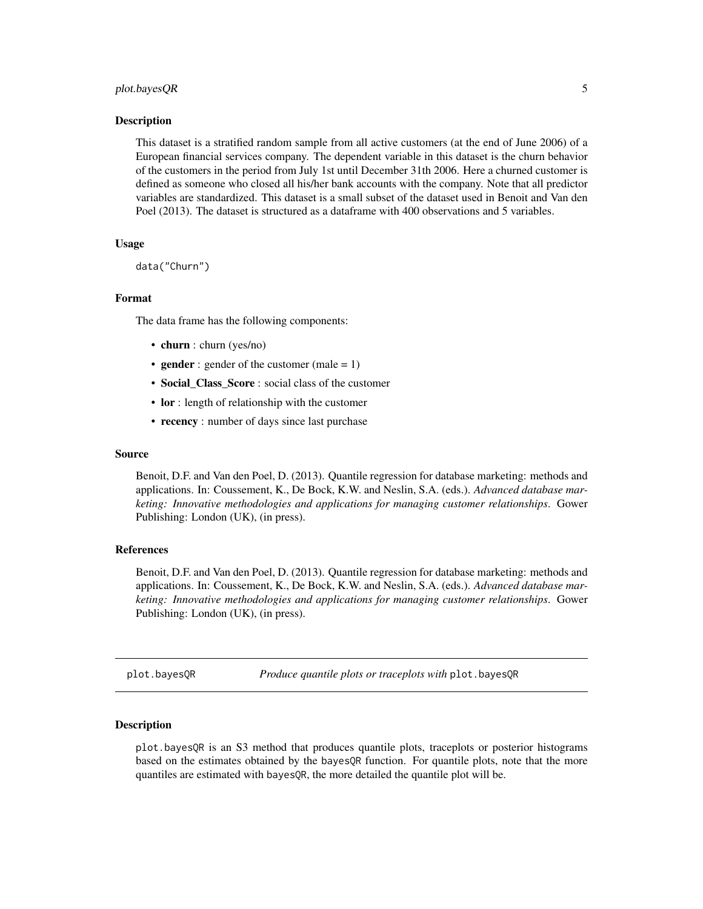#### <span id="page-4-0"></span>plot.bayesQR 5

#### Description

This dataset is a stratified random sample from all active customers (at the end of June 2006) of a European financial services company. The dependent variable in this dataset is the churn behavior of the customers in the period from July 1st until December 31th 2006. Here a churned customer is defined as someone who closed all his/her bank accounts with the company. Note that all predictor variables are standardized. This dataset is a small subset of the dataset used in Benoit and Van den Poel (2013). The dataset is structured as a dataframe with 400 observations and 5 variables.

#### Usage

```
data("Churn")
```
#### Format

The data frame has the following components:

- churn : churn (yes/no)
- gender : gender of the customer (male =  $1$ )
- Social\_Class\_Score : social class of the customer
- lor : length of relationship with the customer
- recency : number of days since last purchase

#### Source

Benoit, D.F. and Van den Poel, D. (2013). Quantile regression for database marketing: methods and applications. In: Coussement, K., De Bock, K.W. and Neslin, S.A. (eds.). *Advanced database marketing: Innovative methodologies and applications for managing customer relationships*. Gower Publishing: London (UK), (in press).

#### References

Benoit, D.F. and Van den Poel, D. (2013). Quantile regression for database marketing: methods and applications. In: Coussement, K., De Bock, K.W. and Neslin, S.A. (eds.). *Advanced database marketing: Innovative methodologies and applications for managing customer relationships*. Gower Publishing: London (UK), (in press).

plot.bayesQR *Produce quantile plots or traceplots with* plot.bayesQR

#### Description

plot.bayesQR is an S3 method that produces quantile plots, traceplots or posterior histograms based on the estimates obtained by the bayesQR function. For quantile plots, note that the more quantiles are estimated with bayesQR, the more detailed the quantile plot will be.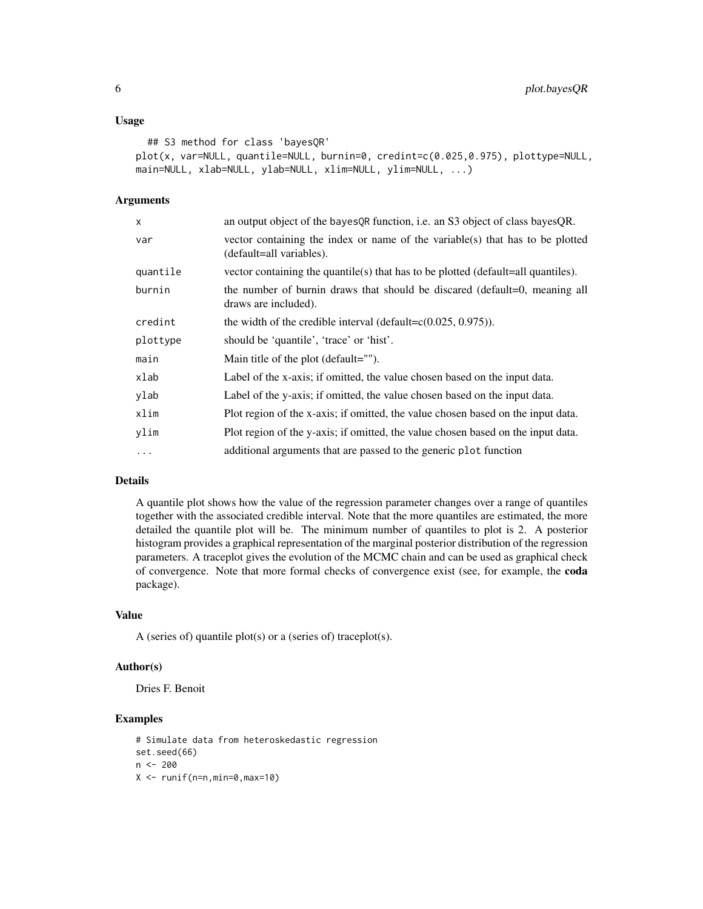#### Usage

```
## S3 method for class 'bayesQR'
plot(x, var=NULL, quantile=NULL, burnin=0, credint=c(0.025,0.975), plottype=NULL,
main=NULL, xlab=NULL, ylab=NULL, xlim=NULL, ylim=NULL, ...)
```
#### Arguments

| x        | an output object of the bayes QR function, i.e. an S3 object of class bayes QR.                           |
|----------|-----------------------------------------------------------------------------------------------------------|
| var      | vector containing the index or name of the variable(s) that has to be plotted<br>(default=all variables). |
| quantile | vector containing the quantile(s) that has to be plotted (default=all quantiles).                         |
| burnin   | the number of burnin draws that should be discared (default=0, meaning all<br>draws are included).        |
| credint  | the width of the credible interval (default= $c(0.025, 0.975)$ ).                                         |
| plottype | should be 'quantile', 'trace' or 'hist'.                                                                  |
| main     | Main title of the plot (default="").                                                                      |
| xlab     | Label of the x-axis; if omitted, the value chosen based on the input data.                                |
| ylab     | Label of the y-axis; if omitted, the value chosen based on the input data.                                |
| xlim     | Plot region of the x-axis; if omitted, the value chosen based on the input data.                          |
| ylim     | Plot region of the y-axis; if omitted, the value chosen based on the input data.                          |
| $\cdots$ | additional arguments that are passed to the generic plot function                                         |

#### Details

A quantile plot shows how the value of the regression parameter changes over a range of quantiles together with the associated credible interval. Note that the more quantiles are estimated, the more detailed the quantile plot will be. The minimum number of quantiles to plot is 2. A posterior histogram provides a graphical representation of the marginal posterior distribution of the regression parameters. A traceplot gives the evolution of the MCMC chain and can be used as graphical check of convergence. Note that more formal checks of convergence exist (see, for example, the coda package).

#### Value

A (series of) quantile plot(s) or a (series of) traceplot(s).

#### Author(s)

Dries F. Benoit

```
# Simulate data from heteroskedastic regression
set.seed(66)
n < -200X \leftarrow runif(n=n,min=0,max=10)
```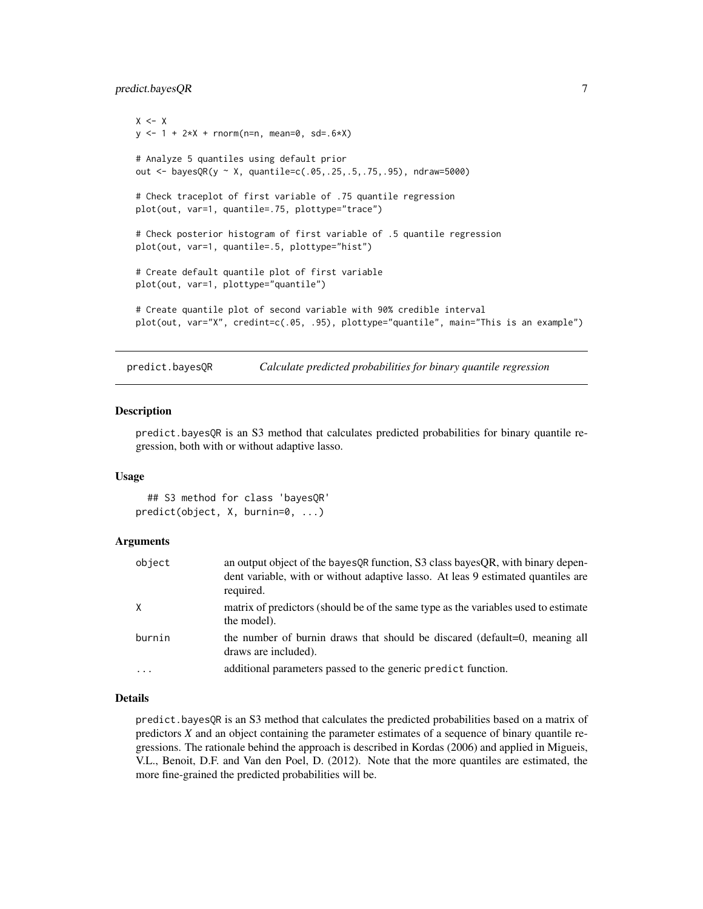#### <span id="page-6-0"></span>predict.bayesQR 7

```
X \leftarrow Xy \le -1 + 2 \times X + \text{norm}(n=n, \text{mean}=0, \text{sd}=0.6 \times X)# Analyze 5 quantiles using default prior
out <- bayesQR(y ~ X, quantile=c(.05,.25,.5,.75,.95), ndraw=5000)
# Check traceplot of first variable of .75 quantile regression
plot(out, var=1, quantile=.75, plottype="trace")
# Check posterior histogram of first variable of .5 quantile regression
plot(out, var=1, quantile=.5, plottype="hist")
# Create default quantile plot of first variable
plot(out, var=1, plottype="quantile")
# Create quantile plot of second variable with 90% credible interval
plot(out, var="X", credint=c(.05, .95), plottype="quantile", main="This is an example")
```
predict.bayesQR *Calculate predicted probabilities for binary quantile regression*

#### Description

predict.bayesQR is an S3 method that calculates predicted probabilities for binary quantile regression, both with or without adaptive lasso.

#### Usage

## S3 method for class 'bayesQR' predict(object, X, burnin=0, ...)

#### Arguments

| object   | an output object of the bayes QR function, S3 class bayes QR, with binary depen-<br>dent variable, with or without adaptive lasso. At leas 9 estimated quantiles are<br>required. |
|----------|-----------------------------------------------------------------------------------------------------------------------------------------------------------------------------------|
| X        | matrix of predictors (should be of the same type as the variables used to estimate<br>the model).                                                                                 |
| burnin   | the number of burnin draws that should be discared (default=0, meaning all<br>draws are included).                                                                                |
| $\cdots$ | additional parameters passed to the generic predict function.                                                                                                                     |

#### Details

predict.bayesQR is an S3 method that calculates the predicted probabilities based on a matrix of predictors *X* and an object containing the parameter estimates of a sequence of binary quantile regressions. The rationale behind the approach is described in Kordas (2006) and applied in Migueis, V.L., Benoit, D.F. and Van den Poel, D. (2012). Note that the more quantiles are estimated, the more fine-grained the predicted probabilities will be.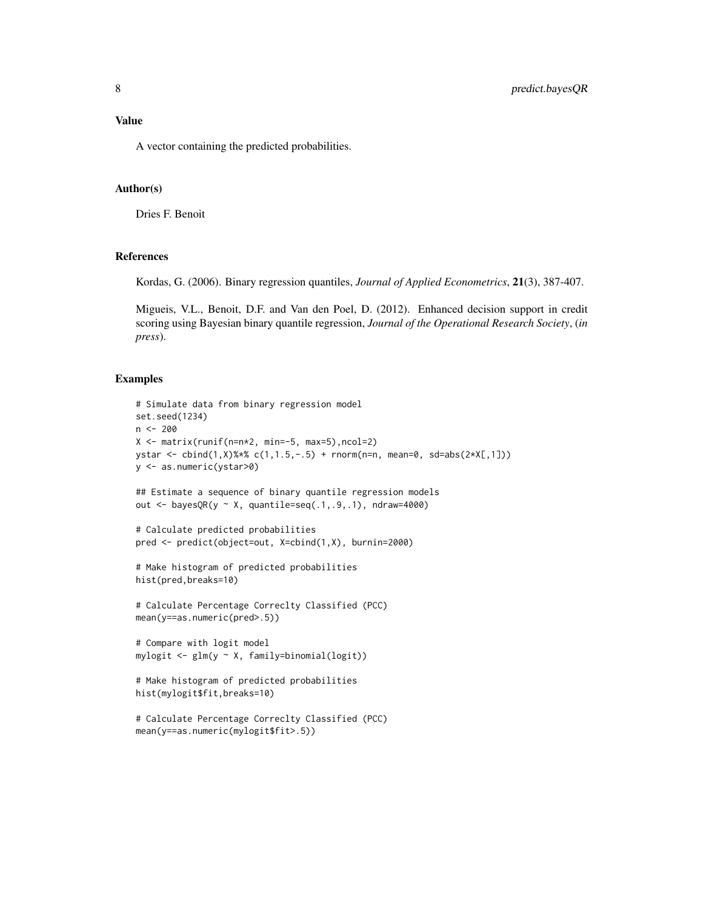#### Value

A vector containing the predicted probabilities.

#### Author(s)

Dries F. Benoit

#### References

Kordas, G. (2006). Binary regression quantiles, *Journal of Applied Econometrics*, 21(3), 387-407.

Migueis, V.L., Benoit, D.F. and Van den Poel, D. (2012). Enhanced decision support in credit scoring using Bayesian binary quantile regression, *Journal of the Operational Research Society*, (*in press*).

```
# Simulate data from binary regression model
set.seed(1234)
n < -200X <- matrix(runif(n=n*2, min=-5, max=5),ncol=2)
ystar <- cbind(1,X)%*% c(1,1.5,-.5) + rnorm(n=n, mean=0, sd=abs(2*X[,1]))
y <- as.numeric(ystar>0)
## Estimate a sequence of binary quantile regression models
out <- bayesQR(y ~ X, quantile=seq(.1,.9,.1), ndraw=4000)
# Calculate predicted probabilities
pred <- predict(object=out, X=cbind(1,X), burnin=2000)
# Make histogram of predicted probabilities
hist(pred,breaks=10)
# Calculate Percentage Correclty Classified (PCC)
mean(y==as.numeric(pred>.5))
# Compare with logit model
mylogit <- glm(y ~ X, family=binomial(logit))
# Make histogram of predicted probabilities
hist(mylogit$fit,breaks=10)
# Calculate Percentage Correclty Classified (PCC)
mean(y==as.numeric(mylogit$fit>.5))
```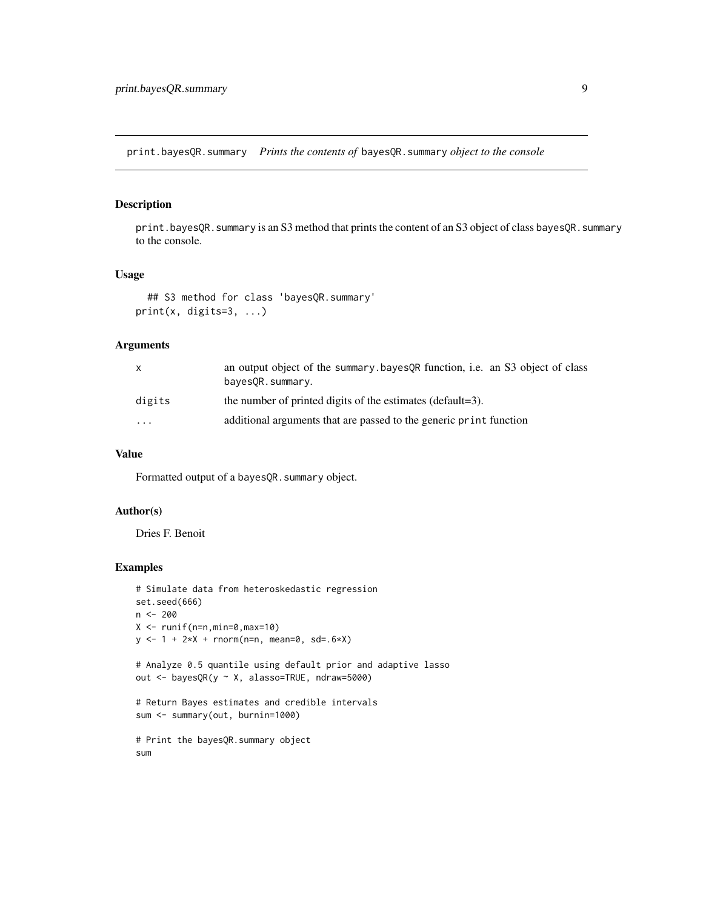<span id="page-8-0"></span>print.bayesQR.summary *Prints the contents of* bayesQR.summary *object to the console*

#### Description

print.bayesQR.summary is an S3 method that prints the content of an S3 object of class bayesQR.summary to the console.

#### Usage

```
## S3 method for class 'bayesQR.summary'
print(x, digits=3, ...)
```
#### Arguments

| x       | an output object of the summary bayes OR function, i.e. an S3 object of class<br>bayes OR. summary. |
|---------|-----------------------------------------------------------------------------------------------------|
| digits  | the number of printed digits of the estimates (default=3).                                          |
| $\cdot$ | additional arguments that are passed to the generic print function                                  |

#### Value

Formatted output of a bayesQR.summary object.

#### Author(s)

Dries F. Benoit

```
# Simulate data from heteroskedastic regression
set.seed(666)
n <- 200
X \leftarrow runif(n=n,min=0,max=10)y \le -1 + 2 \times X + \text{norm}(n=n, \text{mean=0, sd=}.6 \times X)# Analyze 0.5 quantile using default prior and adaptive lasso
out <- bayesQR(y ~ X, alasso=TRUE, ndraw=5000)
# Return Bayes estimates and credible intervals
sum <- summary(out, burnin=1000)
# Print the bayesQR.summary object
sum
```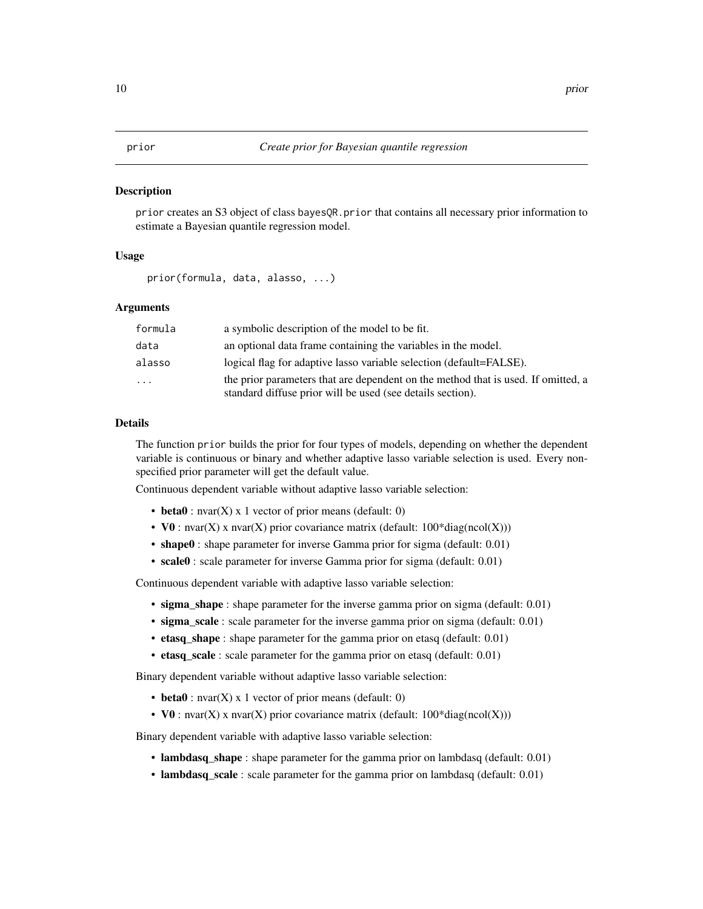#### <span id="page-9-1"></span><span id="page-9-0"></span>Description

prior creates an S3 object of class bayesQR.prior that contains all necessary prior information to estimate a Bayesian quantile regression model.

#### Usage

```
prior(formula, data, alasso, ...)
```
#### Arguments

| formula | a symbolic description of the model to be fit.                                                                                                  |
|---------|-------------------------------------------------------------------------------------------------------------------------------------------------|
| data    | an optional data frame containing the variables in the model.                                                                                   |
| alasso  | logical flag for adaptive lasso variable selection (default=FALSE).                                                                             |
| .       | the prior parameters that are dependent on the method that is used. If omitted, a<br>standard diffuse prior will be used (see details section). |

#### Details

The function prior builds the prior for four types of models, depending on whether the dependent variable is continuous or binary and whether adaptive lasso variable selection is used. Every nonspecified prior parameter will get the default value.

Continuous dependent variable without adaptive lasso variable selection:

- beta $0:$  nvar $(X)$  x 1 vector of prior means (default: 0)
- V0 : nvar(X) x nvar(X) prior covariance matrix (default:  $100^*$ diag(ncol(X)))
- shape0 : shape parameter for inverse Gamma prior for sigma (default: 0.01)
- scale0 : scale parameter for inverse Gamma prior for sigma (default: 0.01)

Continuous dependent variable with adaptive lasso variable selection:

- sigma\_shape : shape parameter for the inverse gamma prior on sigma (default: 0.01)
- sigma scale : scale parameter for the inverse gamma prior on sigma (default: 0.01)
- etasq\_shape : shape parameter for the gamma prior on etasq (default: 0.01)
- etasq\_scale : scale parameter for the gamma prior on etasq (default: 0.01)

Binary dependent variable without adaptive lasso variable selection:

- beta $0:$  nvar $(X)$  x 1 vector of prior means (default: 0)
- V0 : nvar(X) x nvar(X) prior covariance matrix (default:  $100^*$ diag(ncol(X)))

Binary dependent variable with adaptive lasso variable selection:

- lambdasq\_shape : shape parameter for the gamma prior on lambdasq (default: 0.01)
- lambdasq\_scale : scale parameter for the gamma prior on lambdasq (default: 0.01)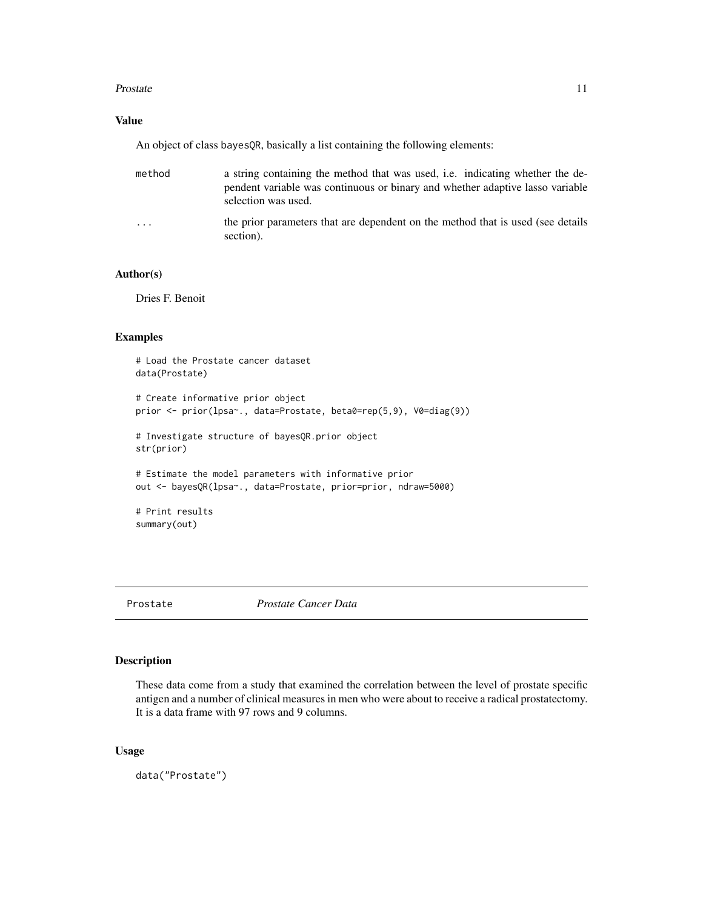#### <span id="page-10-0"></span>Prostate 11

### Value

An object of class bayesQR, basically a list containing the following elements:

| method  | a string containing the method that was used, i.e. indicating whether the de-<br>pendent variable was continuous or binary and whether adaptive lasso variable<br>selection was used. |
|---------|---------------------------------------------------------------------------------------------------------------------------------------------------------------------------------------|
| $\cdot$ | the prior parameters that are dependent on the method that is used (see details)<br>section).                                                                                         |

#### Author(s)

Dries F. Benoit

#### Examples

```
# Load the Prostate cancer dataset
data(Prostate)
# Create informative prior object
prior <- prior(lpsa~., data=Prostate, beta0=rep(5,9), V0=diag(9))
# Investigate structure of bayesQR.prior object
str(prior)
# Estimate the model parameters with informative prior
out <- bayesQR(lpsa~., data=Prostate, prior=prior, ndraw=5000)
# Print results
summary(out)
```

```
Prostate Prostate Cancer Data
```
### Description

These data come from a study that examined the correlation between the level of prostate specific antigen and a number of clinical measures in men who were about to receive a radical prostatectomy. It is a data frame with 97 rows and 9 columns.

#### Usage

data("Prostate")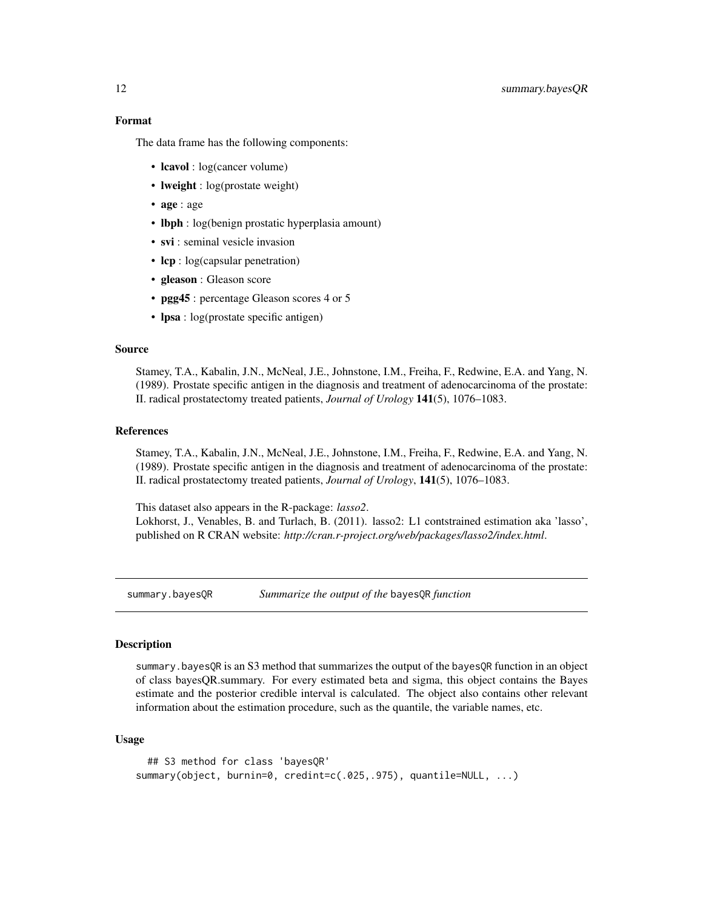The data frame has the following components:

- **lcavol** : log(cancer volume)
- **lweight** : log(prostate weight)
- age : age
- **lbph** : log(benign prostatic hyperplasia amount)
- svi : seminal vesicle invasion
- lcp : log(capsular penetration)
- gleason : Gleason score
- **pgg45** : percentage Gleason scores 4 or 5
- lpsa : log(prostate specific antigen)

#### Source

Stamey, T.A., Kabalin, J.N., McNeal, J.E., Johnstone, I.M., Freiha, F., Redwine, E.A. and Yang, N. (1989). Prostate specific antigen in the diagnosis and treatment of adenocarcinoma of the prostate: II. radical prostatectomy treated patients, *Journal of Urology* 141(5), 1076–1083.

#### References

Stamey, T.A., Kabalin, J.N., McNeal, J.E., Johnstone, I.M., Freiha, F., Redwine, E.A. and Yang, N. (1989). Prostate specific antigen in the diagnosis and treatment of adenocarcinoma of the prostate: II. radical prostatectomy treated patients, *Journal of Urology*, 141(5), 1076–1083.

This dataset also appears in the R-package: *lasso2*. Lokhorst, J., Venables, B. and Turlach, B. (2011). lasso2: L1 contstrained estimation aka 'lasso', published on R CRAN website: *http://cran.r-project.org/web/packages/lasso2/index.html*.

summary.bayesQR *Summarize the output of the* bayesQR *function*

#### Description

summary.bayesQR is an S3 method that summarizes the output of the bayesQR function in an object of class bayesQR.summary. For every estimated beta and sigma, this object contains the Bayes estimate and the posterior credible interval is calculated. The object also contains other relevant information about the estimation procedure, such as the quantile, the variable names, etc.

#### Usage

```
## S3 method for class 'bayesQR'
summary(object, burnin=0, credint=c(.025,.975), quantile=NULL, ...)
```
<span id="page-11-0"></span>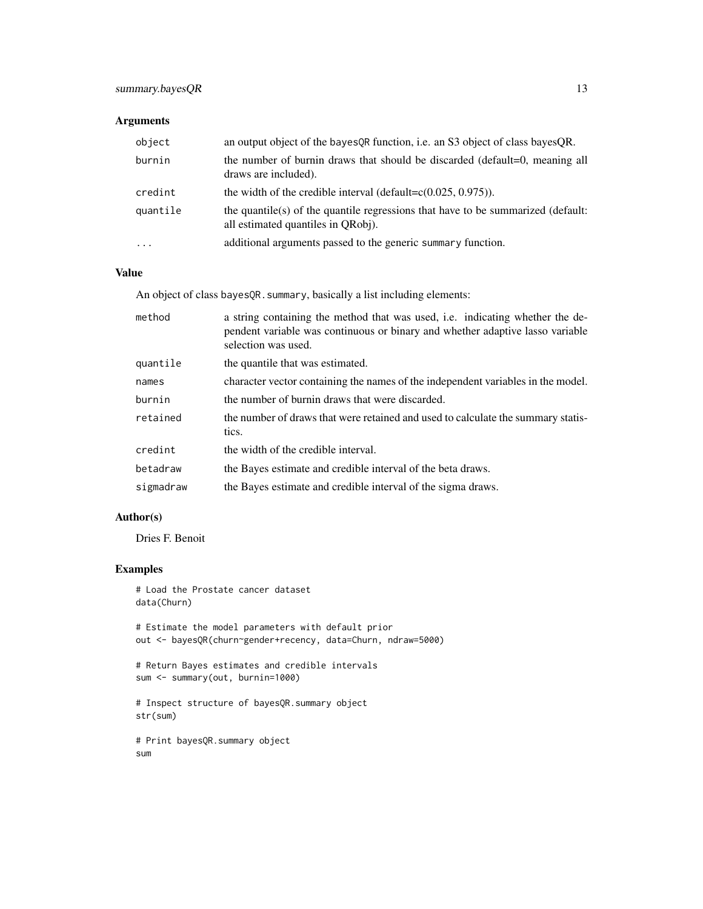### Arguments

| object    | an output object of the bayes QR function, i.e. an S3 object of class bayes QR.                                        |
|-----------|------------------------------------------------------------------------------------------------------------------------|
| burnin    | the number of burnin draws that should be discarded (default=0, meaning all<br>draws are included).                    |
| credint   | the width of the credible interval (default= $c(0.025, 0.975)$ ).                                                      |
| quantile  | the quantile(s) of the quantile regressions that have to be summarized (default:<br>all estimated quantiles in ORobi). |
| $\ddotsc$ | additional arguments passed to the generic summary function.                                                           |

#### Value

An object of class bayesQR. summary, basically a list including elements:

| method    | a string containing the method that was used, i.e. indicating whether the de-<br>pendent variable was continuous or binary and whether adaptive lasso variable<br>selection was used. |
|-----------|---------------------------------------------------------------------------------------------------------------------------------------------------------------------------------------|
| quantile  | the quantile that was estimated.                                                                                                                                                      |
| names     | character vector containing the names of the independent variables in the model.                                                                                                      |
| burnin    | the number of burnin draws that were discarded.                                                                                                                                       |
| retained  | the number of draws that were retained and used to calculate the summary statis-<br>tics.                                                                                             |
| credint   | the width of the credible interval.                                                                                                                                                   |
| betadraw  | the Bayes estimate and credible interval of the beta draws.                                                                                                                           |
| sigmadraw | the Bayes estimate and credible interval of the sigma draws.                                                                                                                          |

#### Author(s)

Dries F. Benoit

```
# Load the Prostate cancer dataset
data(Churn)
```

```
# Estimate the model parameters with default prior
out <- bayesQR(churn~gender+recency, data=Churn, ndraw=5000)
```

```
# Return Bayes estimates and credible intervals
sum <- summary(out, burnin=1000)
```

```
# Inspect structure of bayesQR.summary object
str(sum)
```

```
# Print bayesQR.summary object
sum
```